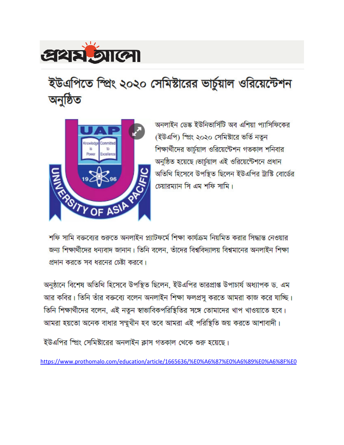

# ইউএপিতে স্প্রিং ২০২০ সেমিস্টারের ভার্চুয়াল ওরিয়েন্টেশন অনুষ্ঠিত



অনলাইন ডেস্ক ইউনিভার্সিটি অব এশিয়া প্যাসিফিকের (ইউএপি) স্প্রিং ২০২০ সেমিষ্টারে ভর্তি নতুন শিক্ষার্থীদের ভার্চয়াল ওরিয়েন্টেশন গতকাল শনিবার অনুষ্ঠিত হয়েছে।ভার্চুয়াল এই ওরিয়েন্টেশনে প্রধান অতিথি হিসেবে উপস্থিত ছিলেন ইউএপির ট্রাস্টি বোর্ডের চেয়ারম্যান সি এম শফি সামি।

শফি সামি বক্তব্যের শুরুতে অনলাইন প্ল্যাটফর্মে শিক্ষা কার্যক্রম নিয়মিত করার সিদ্ধান্ত নেওয়ার জন্য শিক্ষার্থীদের ধন্যবাদ জানান। তিনি বলেন, তাঁদের বিশ্ববিদ্যালয় বিশ্বমানের অনলাইন শিক্ষা প্রদান করতে সব ধরনের চেষ্টা করবে।

অনুষ্ঠানে বিশেষ অতিথি হিসেবে উপস্থিত ছিলেন, ইউএপির ভারপ্রাপ্ত উপাচার্য অধ্যাপক ড. এম আর কবির। তিনি তাঁর বক্তব্যে বলেন অনলাইন শিক্ষা ফলপ্রসু করতে আমরা কাজ করে যাচ্ছি। তিনি শিক্ষার্থীদের বলেন, এই নতুন স্বাভাবিকপরিস্থিতির সঙ্গে তোমাদের খাপ খাওয়াতে হবে। আমরা হয়তো অনেক বাধার সম্মুখীন হব তবে আমরা এই পরিস্থিতি জয় করতে আশাবাদী।

ইউএপির স্প্রিং সেমিষ্টারের অনলাইন ক্লাস গতকাল থেকে শুরু হয়েছে।

https://www.prothomalo.com/education/article/1665636/%E0%A6%87%E0%A6%89%E0%A6%8F%E0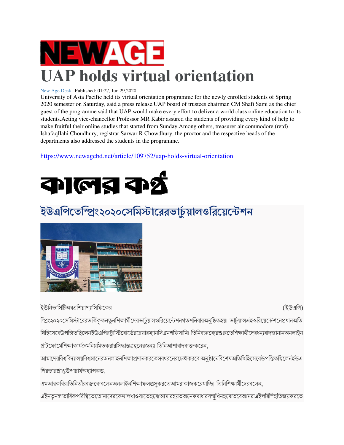

#### New Age Desk | Published: 01:27, Jun 29,2020

University of Asia Pacific held its virtual orientation programme for the newly enrolled students of Spring 2020 semester on Saturday, said a press release.UAP board of trustees chairman CM Shafi Sami as the chief guest of the programme said that UAP would make every effort to deliver a world class online education to its students.Acting vice-chancellor Professor MR Kabir assured the students of providing every kind of help to make fruitful their online studies that started fro m IshafaqIlahi Choudhury, registrar Sarwar R Chowdhury, the proctor and the respective heads of the departments also addressed the students in the programme. departments also addressed the students in the programme. r on Saturday, said a press release.UAP board of trustees chairman CM Shafi Sami as the ch<br>rogramme said that UAP would make every effort to deliver a world class online education<br>1g vice-chancellor Professor MR Kabir assu

https://www.newagebd.net/article/109752/uap-holds-virtual-orientation



## ইউএপিতেম্প্রিং২০২০সেমিস্টারেরভার্চুয়ালওরিয়েন্টেশন



ইউনিভার্সিটিঅবএশিয়াপ্যাসিফিকের

(ইউএপি)

ম্প্রিং২০২০সেমিস্টারেরভর্তিকৃতনতুনশিক্ষার্থীদেরভার্চুয়ালওরিয়েন্টেশনগতশনিবারঅনুষ্ঠিতহয়। ভার্চুয়ালএইওরিয়েন্টেশনেপ্রধানঅতি স্প্রিং২০২০সেমিস্টারেরভর্তিকৃতনতুনশিক্ষার্থীদেরভার্চুয়ালওরিয়েন্টেশনগতশনিবারঅনুষ্ঠিতহয়৷ ভার্চুয়ালএইওরিয়েন্টেশনেপ্রধানঅতি<br>থিহিসেবেউপস্তিতছিলেনইউএপিরট্রাস্টিবোর্ডেরচেয়ারম্যানসিএমশফিসামি৷ তিনিবক্তব্যেরশুরুতেশিক্ষার্থীদে প্লাটফোর্মেশিক্ষাকার্যক্রমনিয়মিতকরারসিদ্ধান্তগ্রহনেরজন্যা তিনিআশাবাদব্যক্তকরেন,

আমাদেরবিশ্ববিদ্যালয়বিশ্বমানেরঅনলাইনশিক্ষাপ্রদানকরতেসবধরনেরচেষ্টাকরবোঅনুষ্ঠানেবিশেষঅতিথিহিসেবেউপস্তিতছিলেনইউএ পিরভারপ্রাপ্তউপাচার্যঅধ্যাপকড.

এমআরকবিরাতিনিতাঁরবক্তব্যেবলেনঅনলাইনশিক্ষাফলপ্রসুকরতেআমরাকাজকরেযাচ্ছি। তিনিশিক্ষার্থীদেরবলেন,

এইনতুনস্বাভাবিকপরিস্থিতেতোমাদেরকেখাপখাওয়াতেহবোআমারহয়তঅনেকবাধারসম্মুখিনহবোতবেআমরাএইপরিস্হিতিজয়করতে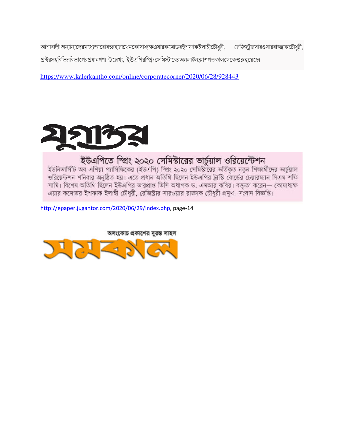আশাবাদী অন্যান্যদেরমধ্যেআরোবক্তব্যরাখেনকোষাধ্যক্ষএয়ারকমোডরইশফাকইলাহীটৌধুরী, রেজিস্ট্রারসারওয়াররাজ্জাকটৌধুরী, প্রক্টরসহবিভিন্নবিভাগেরপ্রধানগণা উল্লেখ্য, ইউএপিরস্প্রিংসেমিস্টারেরঅনলাইনক্লাশগতকালথেকেশুরুহয়েছে৷

https://www.kalerkantho.com/online/corporatecorner/2020/06/28/928443



## ইউএপিতে স্প্রিং ২০২০ সেমিস্টারের ভার্চুয়াল ওরিয়েন্টেশন

ইউনিভার্সিটি অব এশিয়া প্যাসিফিকের (ইউএপি) স্প্রিং ২০২০ সেমিস্টীরের ভর্তিকৃত নতুন শিক্ষার্থীদের ভার্চুয়াল ওরিয়েন্টশন শনিবার অনুষ্ঠিত হয়। এতে প্রধান অতিথি ছিলেন ইউএপির ট্রাস্টি বোর্ডের চেয়ারম্যান সিএম শফি সামি। বিশেষ অতিথি ছিলেন ইউএপির ভারপ্রাপ্ত ভিসি অধাপক ড, এমআর কবির। বক্ততা করেন— কোষাধ্যক্ষ এয়ার কমোডর ইশফাক ইলাহী চৌধুরী, রেজিস্ট্রার সারওয়ার রাজ্জাক চৌধুরী প্রমুখ। সংবাদ বিজ্ঞপ্তি।

http://epaper.jugantor.com/2020/06/29/index.php, page-14

অসংকোচ প্রকাশের দুরস্ত সাহস

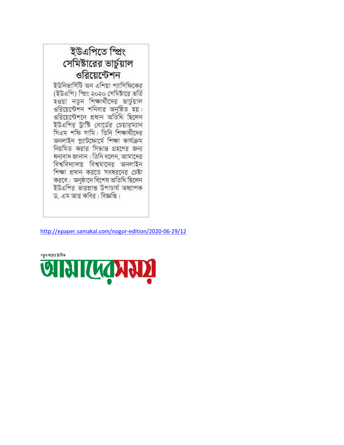ইউএপিতে স্প্ৰিং সেমিস্টারের ভার্চুয়াল ওরিয়েন্টেশন ইউনিভার্সিটি অব এশিয়া প্যাসিফিকের

(ইউএপি) স্প্রিং ২০২০ সেমিষ্টারে ভর্তি হওয়া নতুন শিক্ষার্থীদের ভার্চুয়াল ওরিয়েন্টেশন শনিবার অনুষ্ঠিত হয়। ওরিয়েন্টেশনে প্রধান অতিথি ছিলেন ইউএপির ট্রাস্টি বোর্ডের চেয়ারম্যান সিএম শফি সামি। তিনি শিক্ষার্থীদের অনলাইন প্ল্যাটফোৰ্মে শিক্ষা কাৰ্যক্ৰম নিয়মিত করার সিদ্ধান্ত গ্রহণের জন্য ধন্যবাদ জানান। তিনি বলেন, আমাদের বিশ্ববিদ্যালয় বিশ্বমানের অনলাইন শিক্ষা প্রদান করতে সবধরনের চেষ্টা করবে। অনুষ্ঠানে বিশেষ অতিথি ছিলেন ইউএপির ভারপ্রাপ্ত উপাচার্য অধ্যাপক ড, এম আর কবির। বিজ্ঞপ্তি।

http://epaper.samakal.com/nogor-edition/2020-06-29/12

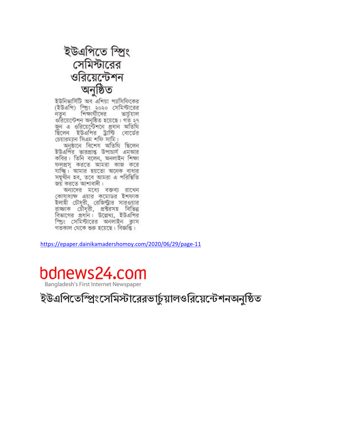

ইউনিভার্সিটি অব এশিয়া প্যাসিফিকের<br>(ইউএপি) স্প্রিং ২০২০ সেমিস্টারের নতন শিক্ষার্থীদের ভার্চয়াল ওরিয়েন্টেশন অনুষ্ঠিত হয়েছে। গত ২৭ জন এ ওরিয়েন্টেশনে প্রধান অতিথি ছিলেন ইউএপির ট্রাস্টি বোর্ডের<br>চেয়ারম্যান-সিএম-শফি-সামি।

অনুষ্ঠানে বিশেষ অতিথি ছিলেন<br>ইউএপির ভারপ্রাপ্ত উপাচার্য এমআর কবির। তিনি বলেন, অনলাইন শিক্ষা ফলপ্রস করতে আমরা কাজ করে যাচ্ছি। আমার হয়তো অনেক বাধার সমূখীন হব, তবে আমরা এ পরিস্থিতি জয় করতে আশাবাদী।

অন্যদের মধ্যে বক্তব্য রাখেন কোষাধ্যক্ষ এয়ার কমোডর ইশফাক ইলাহী চৌধুরী, রেজিস্ট্রার সারওয়ার বাজাক চৌধুরী, প্রতর্সহ বিভিন্ন বিভাগের প্রধান। উল্লেখ্য, ইউএপির স্প্রিং সেমিস্টারের অনলাইন ক্রাস গতকাল থেকে শুরু হয়েছে। বিজ্ঞপ্তি।

https://epaper.dainikamadershomoy.com/2020/06/29/page https://epaper.dainikamadershomoy.com/2020/06/29/page-11



ইউএপিতেম্প্রিংসেমিস্টারেরভার্চুয়ালওরিয়েন্টেশনঅনুষ্ঠিত